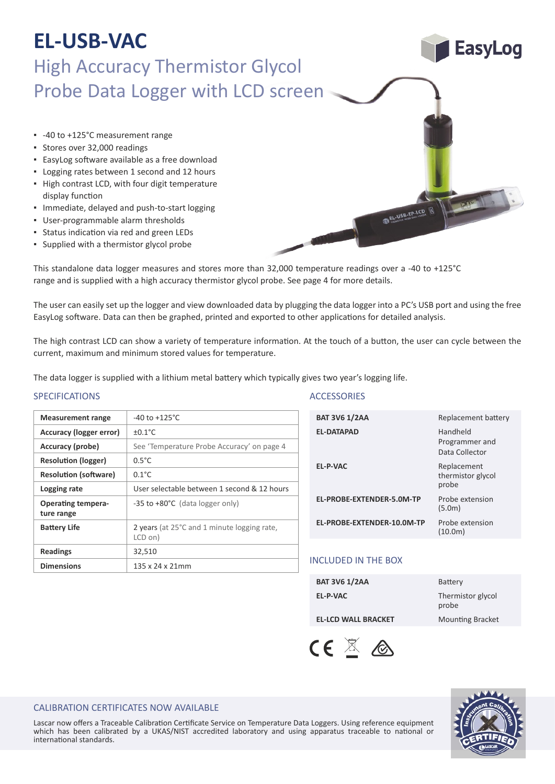# **EL-USB-VAC**

### High Accuracy Thermistor Glycol Probe Data Logger with LCD screen

- -40 to +125°C measurement range
- Stores over 32,000 readings
- EasyLog so�ware available as a free download
- Logging rates between 1 second and 12 hours
- High contrast LCD, with four digit temperature display function
- Immediate, delayed and push-to-start logging
- User‐programmable alarm thresholds
- **Example 2** Status indication via red and green LEDs
- Supplied with a thermistor glycol probe

**Measurement range**  $\vert$  -40 to +125<sup>°</sup>C

**Accuracy (probe)** See 'Temperature Probe Accuracy' on page 4

**Logging rate** User selectable between 1 second & 12 hours

**Battery Life** 2 years (at 25°C and 1 minute logging rate, LCD on)

-35 to +80°C (data logger only)

**Accuracy (logger error)**  $\left| \begin{array}{c} \pm 0.1^{\circ} \text{C} \end{array} \right.$ 

**Resolution (logger)** 0.5°C **Resolution (software)** 0.1°C

**Readings** 32.510

**Dimensions** 135 x 24 x 21mm

This standalone data logger measures and stores more than 32,000 temperature readings over a -40 to +125°C range and is supplied with a high accuracy thermistor glycol probe. See page 4 for more details.

The user can easily set up the logger and view downloaded data by plugging the data logger into a PC's USB port and using the free EasyLog software. Data can then be graphed, printed and exported to other applications for detailed analysis.

The high contrast LCD can show a variety of temperature information. At the touch of a button, the user can cycle between the current, maximum and minimum stored values for temperature.

The data logger is supplied with a lithium metal battery which typically gives two year's logging life.

### SPECIFICATIONS ACCESSORIES

**Operating tempera-**

**ture range**

| <b>BAT 3V6 1/2AA</b>       | Replacement battery                          |
|----------------------------|----------------------------------------------|
| <b>EL-DATAPAD</b>          | Handheld<br>Programmer and<br>Data Collector |
| <b>EL-P-VAC</b>            | Replacement<br>thermistor glycol<br>probe    |
| EL-PROBE-EXTENDER-5.0M-TP  | Probe extension<br>(5.0m)                    |
| EL-PROBE-EXTENDER-10.0M-TP | Probe extension<br>(10.0m)                   |
|                            |                                              |

EL-USB-TP-LCD

### INCLUDED IN THE BOX

| <b>BAT 3V6 1/2AA</b>       | <b>Battery</b>             |
|----------------------------|----------------------------|
| EL-P-VAC                   | Thermistor glycol<br>probe |
| <b>EL-LCD WALL BRACKET</b> | <b>Mounting Bracket</b>    |





EasyLog

### CALIBRATION CERTIFICATES NOW AVAILABLE

Lascar now offers a Traceable Calibration Certificate Service on Temperature Data Loggers. Using reference equipment which has been calibrated by a UKAS/NIST accredited laboratory and using apparatus traceable to national or international standards.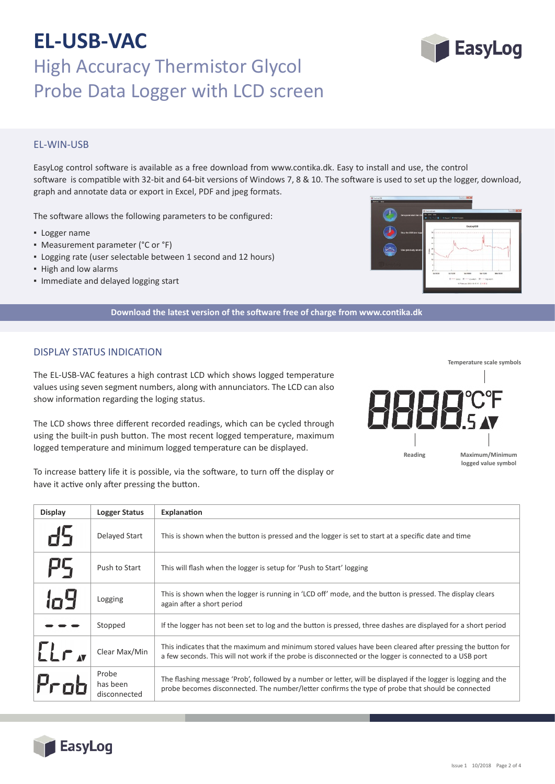## **EL-USB-VAC** High Accuracy Thermistor Glycol Probe Data Logger with LCD screen

### EL‐WIN‐USB

EasyLog control so�ware is available as a free download from www.contika.dk. Easy to install and use, the control software is compatible with 32-bit and 64-bit versions of Windows 7, 8 & 10. The software is used to set up the logger, download, graph and annotate data or export in Excel, PDF and jpeg formats.

The software allows the following parameters to be configured:

- Logger name
- Measurement parameter (°C or °F)
- Logging rate (user selectable between 1 second and 12 hours)
- High and low alarms
- Immediate and delayed logging start

**Download the latest version of the so�ware free of charge from www.contika.dk**

### DISPLAY STATUS INDICATION

EasyLog

The EL‐USB‐VAC features a high contrast LCD which shows logged temperature values using seven segment numbers, along with annunciators. The LCD can also show information regarding the loging status.

The LCD shows three different recorded readings, which can be cycled through using the built-in push button. The most recent logged temperature, maximum logged temperature and minimum logged temperature can be displayed.

To increase battery life it is possible, via the software, to turn off the display or have it active only after pressing the button.

| <b>Display</b> | <b>Logger Status</b>              | Explanation                                                                                                                                                                                                          |
|----------------|-----------------------------------|----------------------------------------------------------------------------------------------------------------------------------------------------------------------------------------------------------------------|
|                | Delayed Start                     | This is shown when the button is pressed and the logger is set to start at a specific date and time                                                                                                                  |
| πć             | Push to Start                     | This will flash when the logger is setup for 'Push to Start' logging                                                                                                                                                 |
|                | Logging                           | This is shown when the logger is running in 'LCD off' mode, and the button is pressed. The display clears<br>again after a short period                                                                              |
|                | Stopped                           | If the logger has not been set to log and the button is pressed, three dashes are displayed for a short period                                                                                                       |
| $LLr_{N}$      | Clear Max/Min                     | This indicates that the maximum and minimum stored values have been cleared after pressing the button for<br>a few seconds. This will not work if the probe is disconnected or the logger is connected to a USB port |
|                | Probe<br>has been<br>disconnected | The flashing message 'Prob', followed by a number or letter, will be displayed if the logger is logging and the<br>probe becomes disconnected. The number/letter confirms the type of probe that should be connected |



**Reading**





**Maximum/Minimum logged value symbol**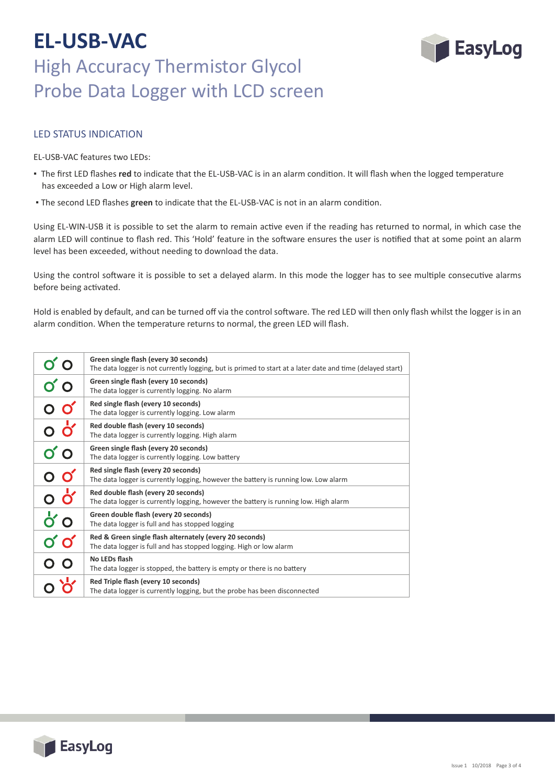## **EL-USB-VAC** High Accuracy Thermistor Glycol Probe Data Logger with LCD screen



### LED STATUS INDICATION

EL‐USB‐VAC features two LEDs:

- The first LED flashes red to indicate that the EL-USB-VAC is in an alarm condition. It will flash when the logged temperature has exceeded a Low or High alarm level.
- The second LED flashes **green** to indicate that the EL‐USB‐VAC is not in an alarm condi�on.

Using EL-WIN-USB it is possible to set the alarm to remain active even if the reading has returned to normal, in which case the alarm LED will continue to flash red. This 'Hold' feature in the software ensures the user is notified that at some point an alarm level has been exceeded, without needing to download the data.

Using the control software it is possible to set a delayed alarm. In this mode the logger has to see multiple consecutive alarms before being activated.

Hold is enabled by default, and can be turned off via the control software. The red LED will then only flash whilst the logger is in an alarm condition. When the temperature returns to normal, the green LED will flash.

|                                  | Green single flash (every 30 seconds)<br>The data logger is not currently logging, but is primed to start at a later date and time (delayed start) |
|----------------------------------|----------------------------------------------------------------------------------------------------------------------------------------------------|
| ဝ ဝ                              | Green single flash (every 10 seconds)<br>The data logger is currently logging. No alarm                                                            |
| $\overline{O}$ $\overline{O}'$   | Red single flash (every 10 seconds)<br>The data logger is currently logging. Low alarm                                                             |
| $\overline{0}$                   | Red double flash (every 10 seconds)<br>The data logger is currently logging. High alarm                                                            |
| ΟÓ                               | Green single flash (every 20 seconds)<br>The data logger is currently logging. Low battery                                                         |
| $\circ$ o'                       | Red single flash (every 20 seconds)<br>The data logger is currently logging, however the battery is running low. Low alarm                         |
| o ở                              | Red double flash (every 20 seconds)<br>The data logger is currently logging, however the battery is running low. High alarm                        |
| $\mathsf{d}'\mathsf{o}$          | Green double flash (every 20 seconds)<br>The data logger is full and has stopped logging                                                           |
| $\boldsymbol{0}'\boldsymbol{0}'$ | Red & Green single flash alternately (every 20 seconds)<br>The data logger is full and has stopped logging. High or low alarm                      |
|                                  | No LEDs flash<br>The data logger is stopped, the battery is empty or there is no battery                                                           |
|                                  | Red Triple flash (every 10 seconds)<br>The data logger is currently logging, but the probe has been disconnected                                   |